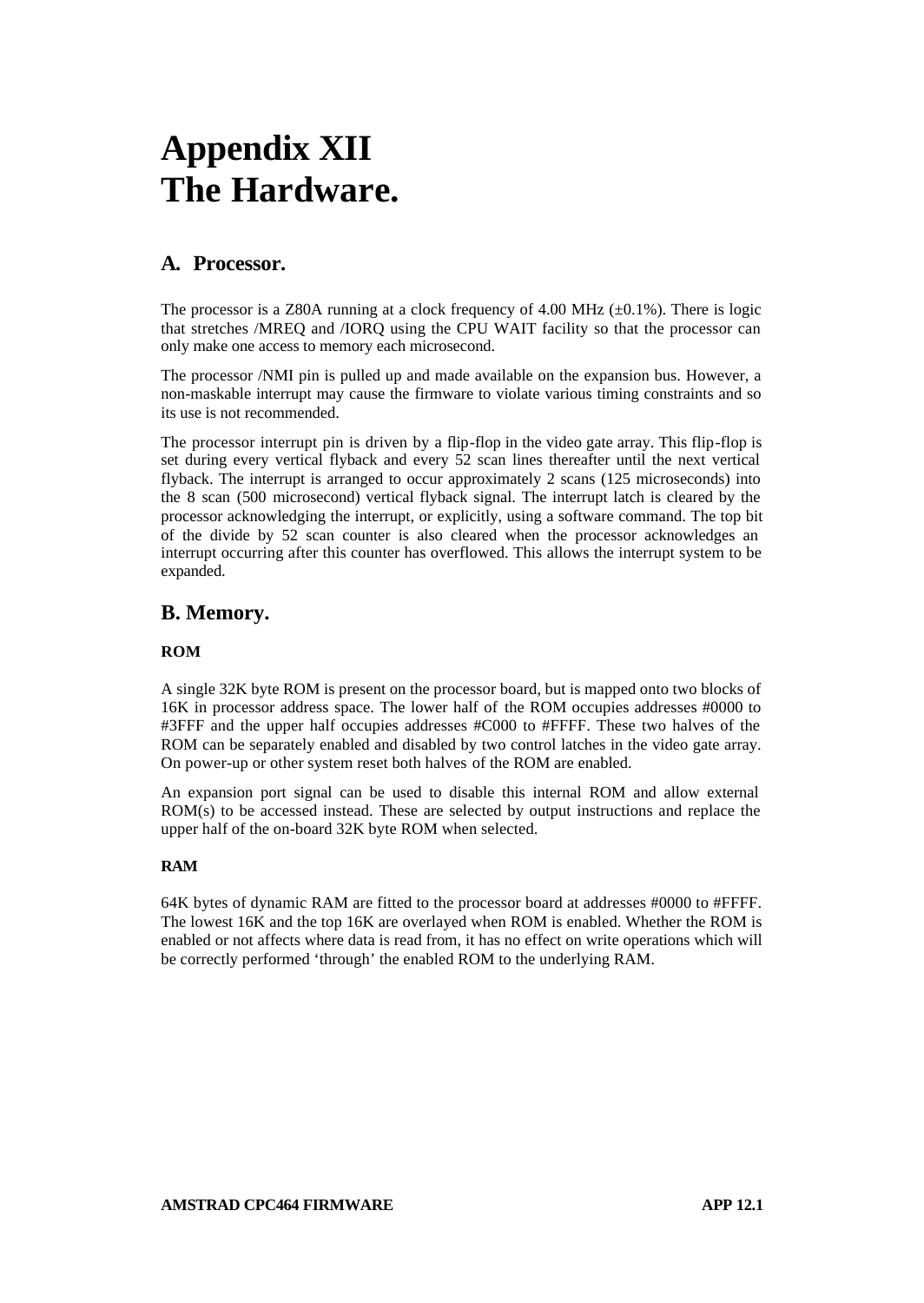# **Appendix XII The Hardware.**

# **A. Processor.**

The processor is a Z80A running at a clock frequency of 4.00 MHz  $(\pm 0.1\%)$ . There is logic that stretches /MREQ and /IORQ using the CPU WAIT facility so that the processor can only make one access to memory each microsecond.

The processor /NMI pin is pulled up and made available on the expansion bus. However, a non-maskable interrupt may cause the firmware to violate various timing constraints and so its use is not recommended.

The processor interrupt pin is driven by a flip-flop in the video gate array. This flip-flop is set during every vertical flyback and every 52 scan lines thereafter until the next vertical flyback. The interrupt is arranged to occur approximately 2 scans (125 microseconds) into the 8 scan (500 microsecond) vertical flyback signal. The interrupt latch is cleared by the processor acknowledging the interrupt, or explicitly, using a software command. The top bit of the divide by 52 scan counter is also cleared when the processor acknowledges an interrupt occurring after this counter has overflowed. This allows the interrupt system to be expanded.

# **B. Memory.**

## **ROM**

A single 32K byte ROM is present on the processor board, but is mapped onto two blocks of 16K in processor address space. The lower half of the ROM occupies addresses #0000 to #3FFF and the upper half occupies addresses #C000 to #FFFF. These two halves of the ROM can be separately enabled and disabled by two control latches in the video gate array. On power-up or other system reset both halves of the ROM are enabled.

An expansion port signal can be used to disable this internal ROM and allow external ROM(s) to be accessed instead. These are selected by output instructions and replace the upper half of the on-board 32K byte ROM when selected.

## **RAM**

64K bytes of dynamic RAM are fitted to the processor board at addresses #0000 to #FFFF. The lowest 16K and the top 16K are overlayed when ROM is enabled. Whether the ROM is enabled or not affects where data is read from, it has no effect on write operations which will be correctly performed 'through' the enabled ROM to the underlying RAM.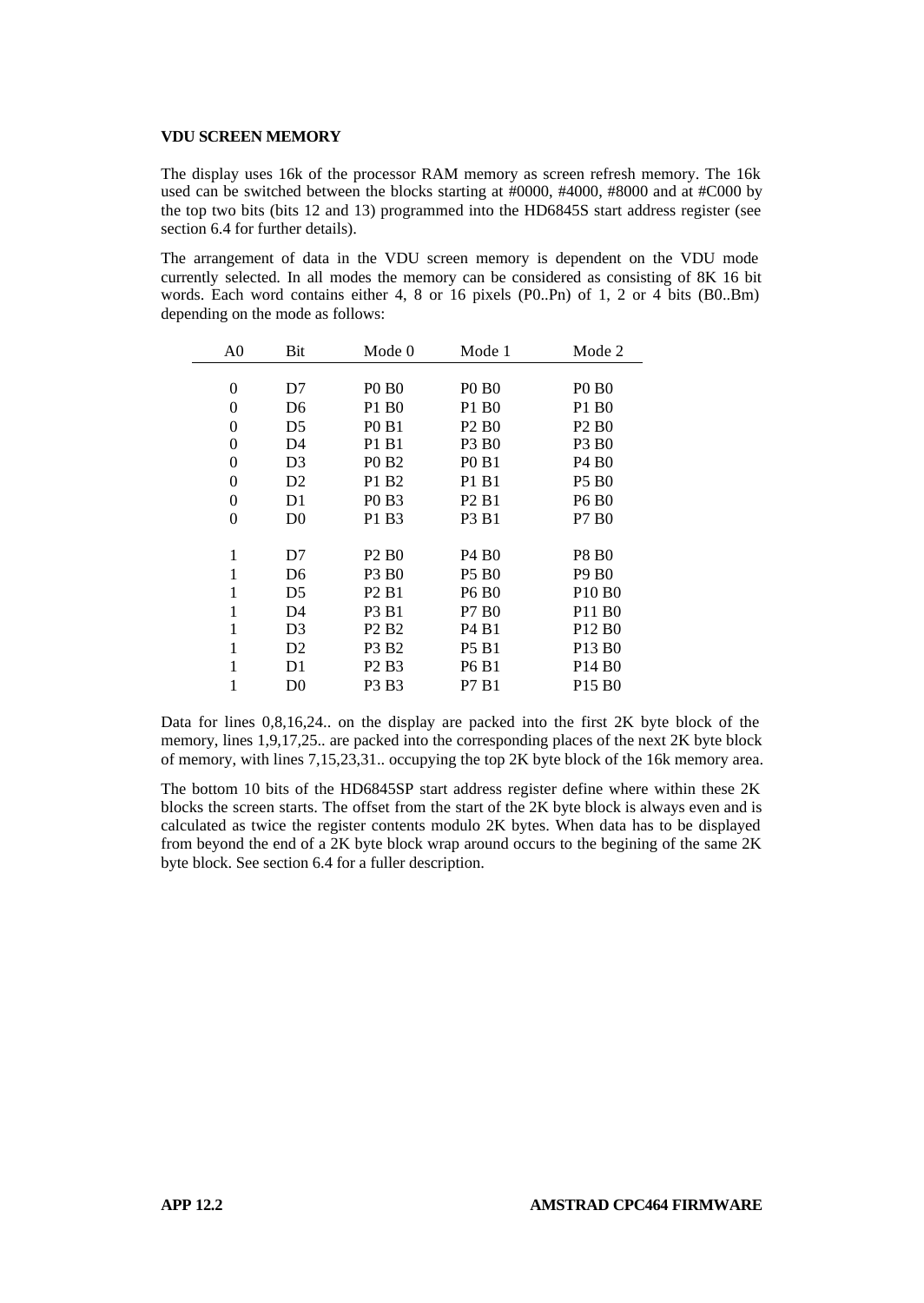#### **VDU SCREEN MEMORY**

The display uses 16k of the processor RAM memory as screen refresh memory. The 16k used can be switched between the blocks starting at #0000, #4000, #8000 and at #C000 by the top two bits (bits 12 and 13) programmed into the HD6845S start address register (see section 6.4 for further details).

The arrangement of data in the VDU screen memory is dependent on the VDU mode currently selected. In all modes the memory can be considered as consisting of 8K 16 bit words. Each word contains either 4, 8 or 16 pixels (P0..Pn) of 1, 2 or 4 bits (B0..Bm) depending on the mode as follows:

| A <sub>0</sub> | Bit            | Mode 0<br>Mode 1              |                               | Mode 2                         |  |
|----------------|----------------|-------------------------------|-------------------------------|--------------------------------|--|
|                |                |                               |                               |                                |  |
| $\theta$       | D7             | <b>PO BO</b>                  | <b>PO BO</b>                  | <b>PO BO</b>                   |  |
| $\Omega$       | D6             | P1 B0                         | P1 B <sub>0</sub>             | P1 B0                          |  |
| $\theta$       | D5             | <b>PO</b> B <sub>1</sub>      | P <sub>2</sub> B <sub>0</sub> | P <sub>2</sub> B <sub>0</sub>  |  |
| $\theta$       | D4             | P1 B1                         | P3 B <sub>0</sub>             | P3 B <sub>0</sub>              |  |
| $\theta$       | D3             | P <sub>0</sub> B <sub>2</sub> | <b>PO B1</b>                  | P4 B <sub>0</sub>              |  |
| $\theta$       | D <sub>2</sub> | P1 B2                         | P1 B1                         | <b>P5 B0</b>                   |  |
| $\theta$       | D1             | P <sub>0</sub> B <sub>3</sub> | P <sub>2</sub> B <sub>1</sub> | <b>P6 B0</b>                   |  |
| $\theta$       | D <sub>0</sub> | P1 B3                         | P3 B1                         | P7 B0                          |  |
|                |                |                               |                               |                                |  |
| 1              | D7             | P <sub>2</sub> B <sub>0</sub> | P <sub>4</sub> B <sub>0</sub> | <b>P8 B0</b>                   |  |
| 1              | D6             | P3 B <sub>0</sub>             | <b>P5 B0</b>                  | <b>P9 B0</b>                   |  |
| 1              | D5             | P <sub>2</sub> B <sub>1</sub> | <b>P6 B0</b>                  | P <sub>10</sub> B <sub>0</sub> |  |
| 1              | D4             | P3 B1                         | P7 B0                         | P <sub>11</sub> B <sub>0</sub> |  |
| 1              | D3             | P <sub>2</sub> B <sub>2</sub> | P <sub>4</sub> B <sub>1</sub> | P <sub>12</sub> B <sub>0</sub> |  |
| 1              | D <sub>2</sub> | P3 B2                         | <b>P5 B1</b>                  | P <sub>13</sub> B <sub>0</sub> |  |
| 1              | D1             | P <sub>2</sub> B <sub>3</sub> | P6 B1                         | P <sub>14</sub> B <sub>0</sub> |  |
|                | D0             | P3 B3                         | P7 B1                         | P <sub>15</sub> B <sub>0</sub> |  |

Data for lines 0,8,16,24.. on the display are packed into the first 2K byte block of the memory, lines 1,9,17,25.. are packed into the corresponding places of the next 2K byte block of memory, with lines 7,15,23,31.. occupying the top 2K byte block of the 16k memory area.

The bottom 10 bits of the HD6845SP start address register define where within these 2K blocks the screen starts. The offset from the start of the 2K byte block is always even and is calculated as twice the register contents modulo 2K bytes. When data has to be displayed from beyond the end of a 2K byte block wrap around occurs to the begining of the same 2K byte block. See section 6.4 for a fuller description.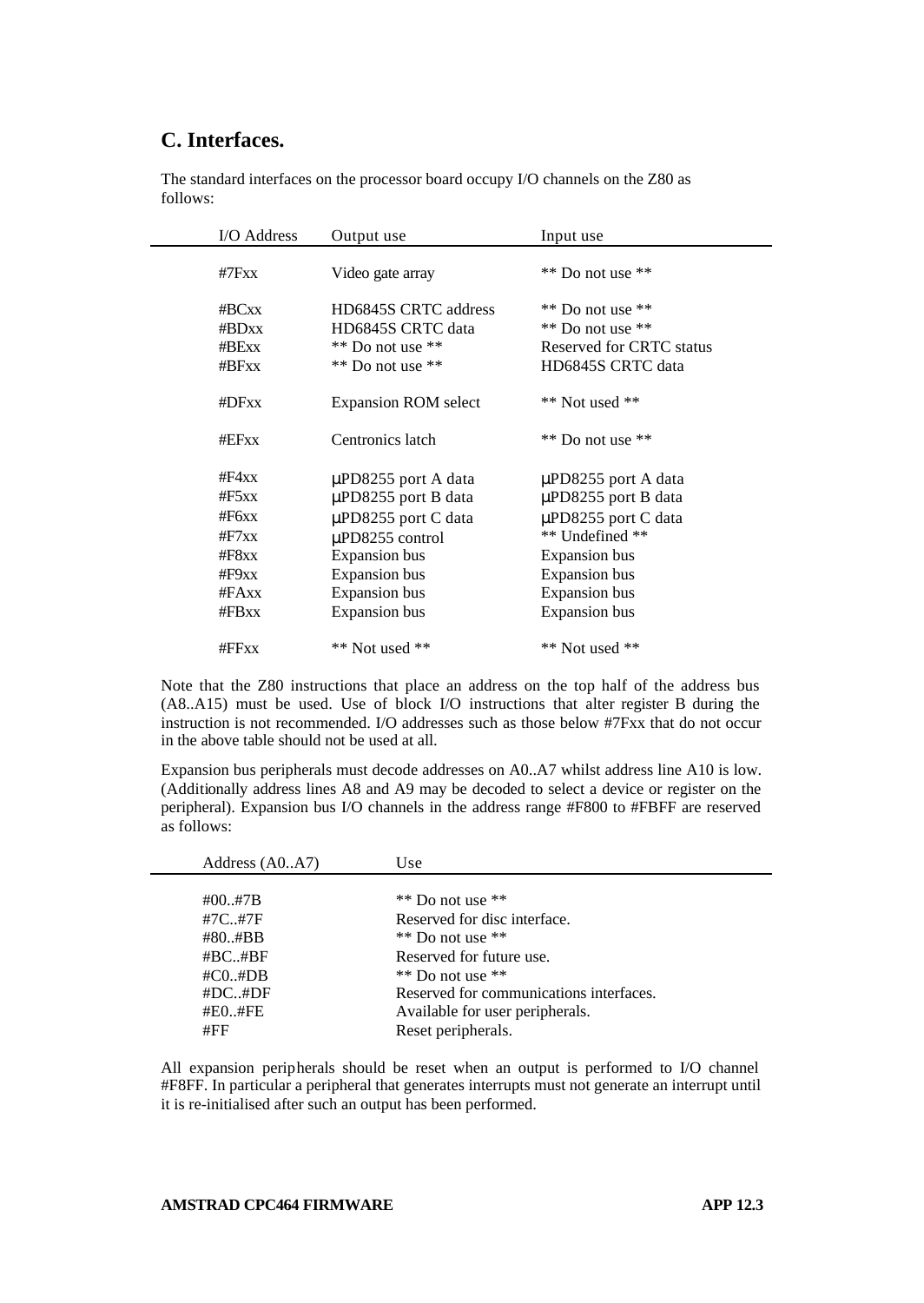# **C. Interfaces.**

The standard interfaces on the processor board occupy I/O channels on the Z80 as follows:

| I/O Address | Output use                  | Input use                |  |  |
|-------------|-----------------------------|--------------------------|--|--|
| #7 $Fx$ x   | Video gate array            | $**$ Do not use $**$     |  |  |
| #BCxx       | HD6845S CRTC address        | ** Do not use **         |  |  |
| #BDxx       | HD6845S CRTC data           | $**$ Do not use $**$     |  |  |
| #BExx       | $**$ Do not use $**$        | Reserved for CRTC status |  |  |
| #BFxx       | $**$ Do not use $**$        | HD6845S CRTC data        |  |  |
| #DFxx       | <b>Expansion ROM select</b> | $**$ Not used $**$       |  |  |
| #EFxx       | Centronics latch            | $**$ Do not use $**$     |  |  |
| #F4xx       | $\mu$ PD8255 port A data    | µPD8255 port A data      |  |  |
| #F5xx       | $\mu$ PD8255 port B data    | $\mu$ PD8255 port B data |  |  |
| #F6xx       | $\mu$ PD8255 port C data    | $\mu$ PD8255 port C data |  |  |
| #F7xx       | $\mu$ PD8255 control        | ** Undefined **          |  |  |
| # $F8xx$    | <b>Expansion</b> bus        | <b>Expansion</b> bus     |  |  |
| #F9xx       | <b>Expansion</b> bus        | <b>Expansion</b> bus     |  |  |
| #FAxx       | <b>Expansion</b> bus        | Expansion bus            |  |  |
| $#$ FBxx    | <b>Expansion</b> bus        | <b>Expansion</b> bus     |  |  |
| #FFxx       | ** Not used **              | $**$ Not used $**$       |  |  |

Note that the Z80 instructions that place an address on the top half of the address bus (A8..A15) must be used. Use of block I/O instructions that alter register B during the instruction is not recommended. I/O addresses such as those below #7Fxx that do not occur in the above table should not be used at all.

Expansion bus peripherals must decode addresses on A0..A7 whilst address line A10 is low. (Additionally address lines A8 and A9 may be decoded to select a device or register on the peripheral). Expansion bus I/O channels in the address range #F800 to #FBFF are reserved as follows:

| Address (A0A7) | Use                                     |
|----------------|-----------------------------------------|
|                |                                         |
| $\#00.,\#7B$   | ** Do not use $**$                      |
| #7C#7F         | Reserved for disc interface.            |
| #80#BB         | $**$ Do not use $**$                    |
| #BC#BF         | Reserved for future use.                |
| $\#CO. \#DB$   | $**$ Do not use $**$                    |
| #DC#DF         | Reserved for communications interfaces. |
| #E0.,#FE       | Available for user peripherals.         |
| #FF            | Reset peripherals.                      |
|                |                                         |

All expansion peripherals should be reset when an output is performed to I/O channel #F8FF. In particular a peripheral that generates interrupts must not generate an interrupt until it is re-initialised after such an output has been performed.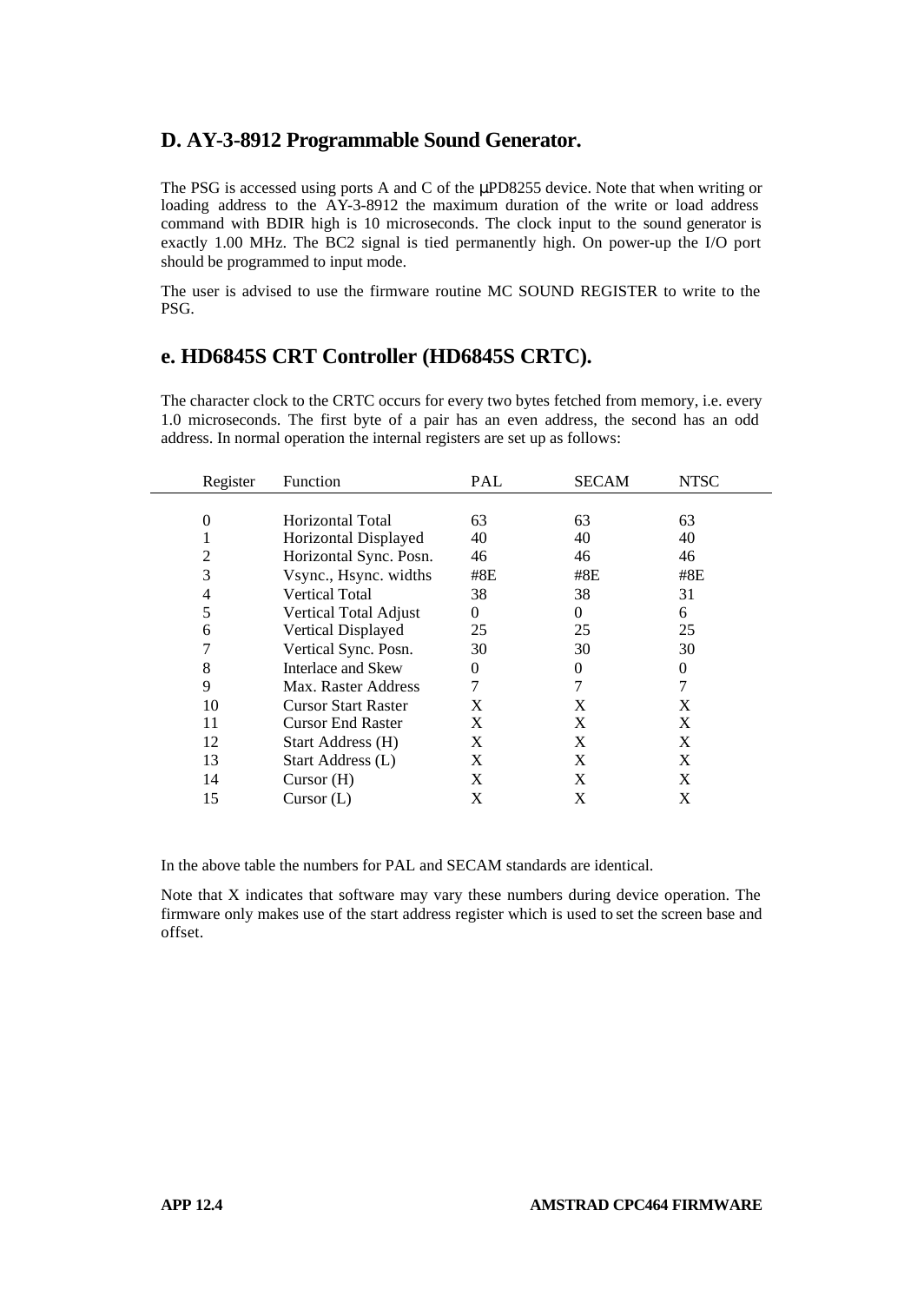## **D. AY-3-8912 Programmable Sound Generator.**

The PSG is accessed using ports A and C of the μPD8255 device. Note that when writing or loading address to the AY-3-8912 the maximum duration of the write or load address command with BDIR high is 10 microseconds. The clock input to the sound generator is exactly 1.00 MHz. The BC2 signal is tied permanently high. On power-up the I/O port should be programmed to input mode.

The user is advised to use the firmware routine MC SOUND REGISTER to write to the PSG.

# **e. HD6845S CRT Controller (HD6845S CRTC).**

The character clock to the CRTC occurs for every two bytes fetched from memory, i.e. every 1.0 microseconds. The first byte of a pair has an even address, the second has an odd address. In normal operation the internal registers are set up as follows:

| Register | Function                     | PAL | <b>SECAM</b> | <b>NTSC</b> |
|----------|------------------------------|-----|--------------|-------------|
|          |                              |     |              |             |
| 0        | Horizontal Total             | 63  | 63           | 63          |
|          | Horizontal Displayed         | 40  | 40           | 40          |
| 2        | Horizontal Sync. Posn.       | 46  | 46           | 46          |
| 3        | Vsync., Hsync. widths        | #8E | #8E          | #8E         |
| 4        | <b>Vertical Total</b>        | 38  | 38           | 31          |
| 5        | <b>Vertical Total Adjust</b> | 0   | 0            | 6           |
| 6        | Vertical Displayed           | 25  | 25           | 25          |
|          | Vertical Sync. Posn.         | 30  | 30           | 30          |
| 8        | Interlace and Skew           | 0   | 0            | 0           |
| 9        | Max. Raster Address          | 7   |              |             |
| 10       | <b>Cursor Start Raster</b>   | X   | X            | X           |
| 11       | <b>Cursor End Raster</b>     | X   | X            | X           |
| 12       | Start Address (H)            | X   | X            | X           |
| 13       | Start Address (L)            | X   | X            | X           |
| 14       | Curson(H)                    | X   | X            | X           |
| 15       | Curson(L)                    | X   | X            | X           |

In the above table the numbers for PAL and SECAM standards are identical.

Note that X indicates that software may vary these numbers during device operation. The firmware only makes use of the start address register which is used to set the screen base and offset.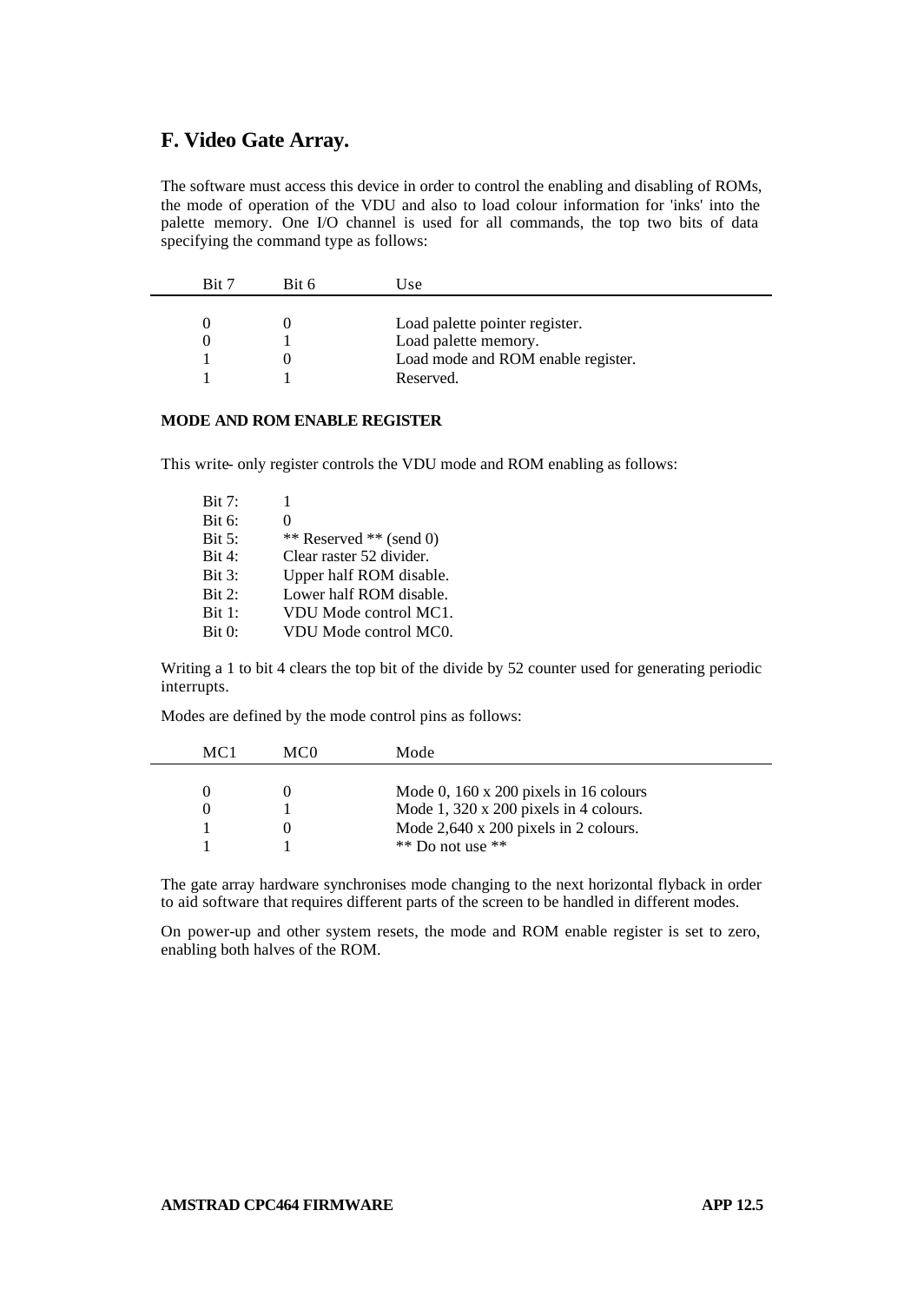## **F. Video Gate Array.**

The software must access this device in order to control the enabling and disabling of ROMs, the mode of operation of the VDU and also to load colour information for 'inks' into the palette memory. One I/O channel is used for all commands, the top two bits of data specifying the command type as follows:

| Bit 7 | Bit 6 | Use                                |
|-------|-------|------------------------------------|
|       |       |                                    |
|       |       | Load palette pointer register.     |
|       |       | Load palette memory.               |
|       |       | Load mode and ROM enable register. |
|       |       | Reserved.                          |
|       |       |                                    |

## **MODE AND ROM ENABLE REGISTER**

This write- only register controls the VDU mode and ROM enabling as follows:

| Bit 7: |                          |
|--------|--------------------------|
| Bit 6: | 0                        |
| Bit 5: | ** Reserved ** (send 0)  |
| Bit 4: | Clear raster 52 divider. |
| Bit 3: | Upper half ROM disable.  |
| Bit 2: | Lower half ROM disable.  |
| Bit 1: | VDU Mode control MC1.    |
| Bit 0: | VDU Mode control MC0.    |

Writing a 1 to bit 4 clears the top bit of the divide by 52 counter used for generating periodic interrupts.

Modes are defined by the mode control pins as follows:

| MC 1 | MC0 | Mode                                          |  |
|------|-----|-----------------------------------------------|--|
|      |     |                                               |  |
|      |     | Mode 0, $160 \times 200$ pixels in 16 colours |  |
|      |     | Mode 1, $320 \times 200$ pixels in 4 colours. |  |
|      |     | Mode $2,640 \times 200$ pixels in 2 colours.  |  |
|      |     | $**$ Do not use $**$                          |  |

The gate array hardware synchronises mode changing to the next horizontal flyback in order to aid software that requires different parts of the screen to be handled in different modes.

On power-up and other system resets, the mode and ROM enable register is set to zero, enabling both halves of the ROM.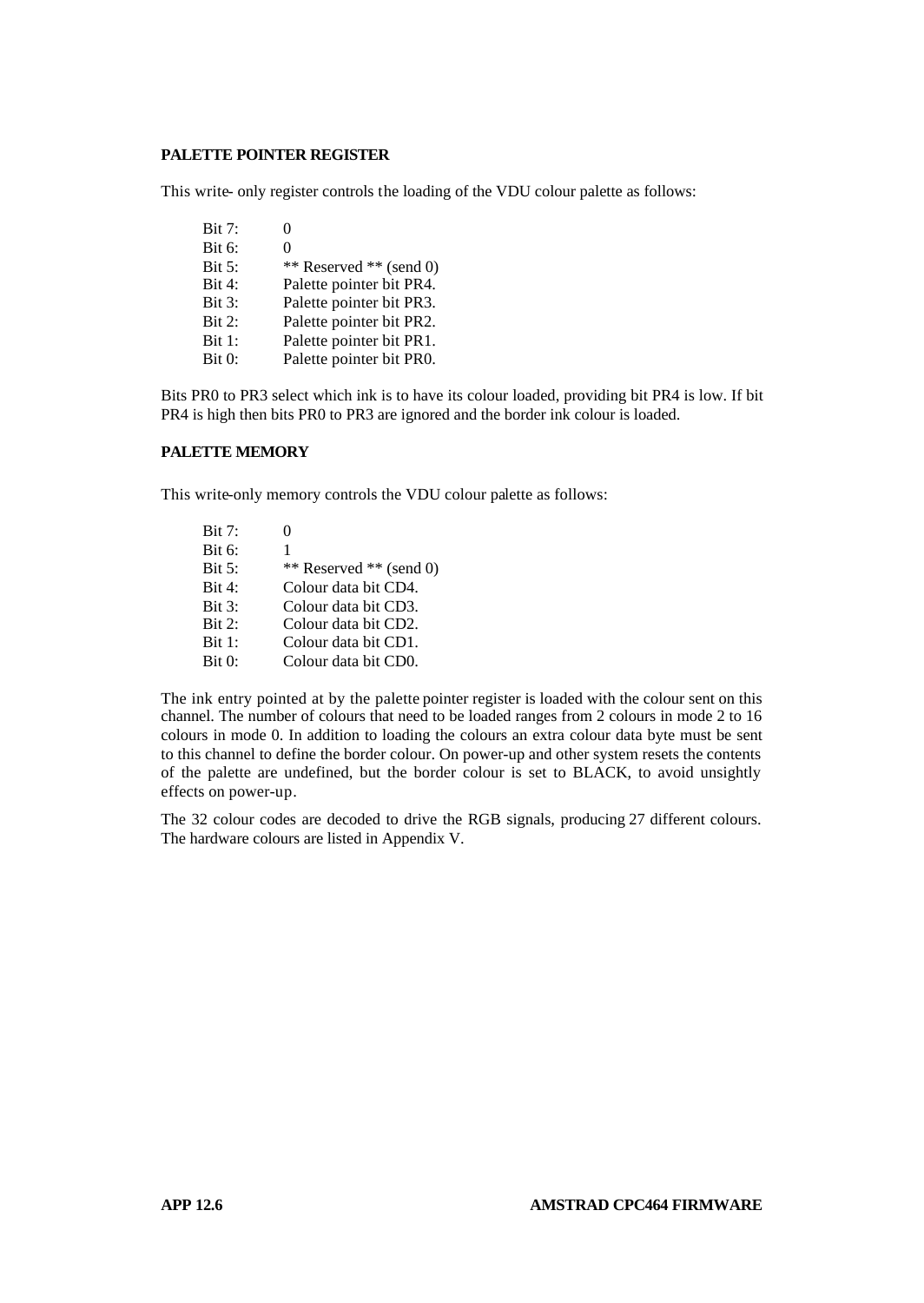### **PALETTE POINTER REGISTER**

This write- only register controls the loading of the VDU colour palette as follows:

Bit 7: 0 Bit 6: 0 Bit 5: \*\* Reserved \*\* (send 0)<br>Bit 4: Palette pointer bit PR4. Palette pointer bit PR4. Bit 3: Palette pointer bit PR3. Bit 2: Palette pointer bit PR2. Bit 1: Palette pointer bit PR1. Bit 0: Palette pointer bit PR0.

Bits PR0 to PR3 select which ink is to have its colour loaded, providing bit PR4 is low. If bit PR4 is high then bits PR0 to PR3 are ignored and the border ink colour is loaded.

### **PALETTE MEMORY**

This write-only memory controls the VDU colour palette as follows:

| Bit 7: | 0                       |
|--------|-------------------------|
| Bit 6: | 1                       |
| Bit 5: | ** Reserved ** (send 0) |
| Bit 4: | Colour data bit CD4.    |
| Bit 3: | Colour data bit CD3.    |
| Bit 2: | Colour data bit CD2.    |
| Bit 1: | Colour data bit CD1.    |
| Bit 0: | Colour data bit CD0.    |

The ink entry pointed at by the palette pointer register is loaded with the colour sent on this channel. The number of colours that need to be loaded ranges from 2 colours in mode 2 to 16 colours in mode 0. In addition to loading the colours an extra colour data byte must be sent to this channel to define the border colour. On power-up and other system resets the contents of the palette are undefined, but the border colour is set to BLACK, to avoid unsightly effects on power-up.

The 32 colour codes are decoded to drive the RGB signals, producing 27 different colours. The hardware colours are listed in Appendix V.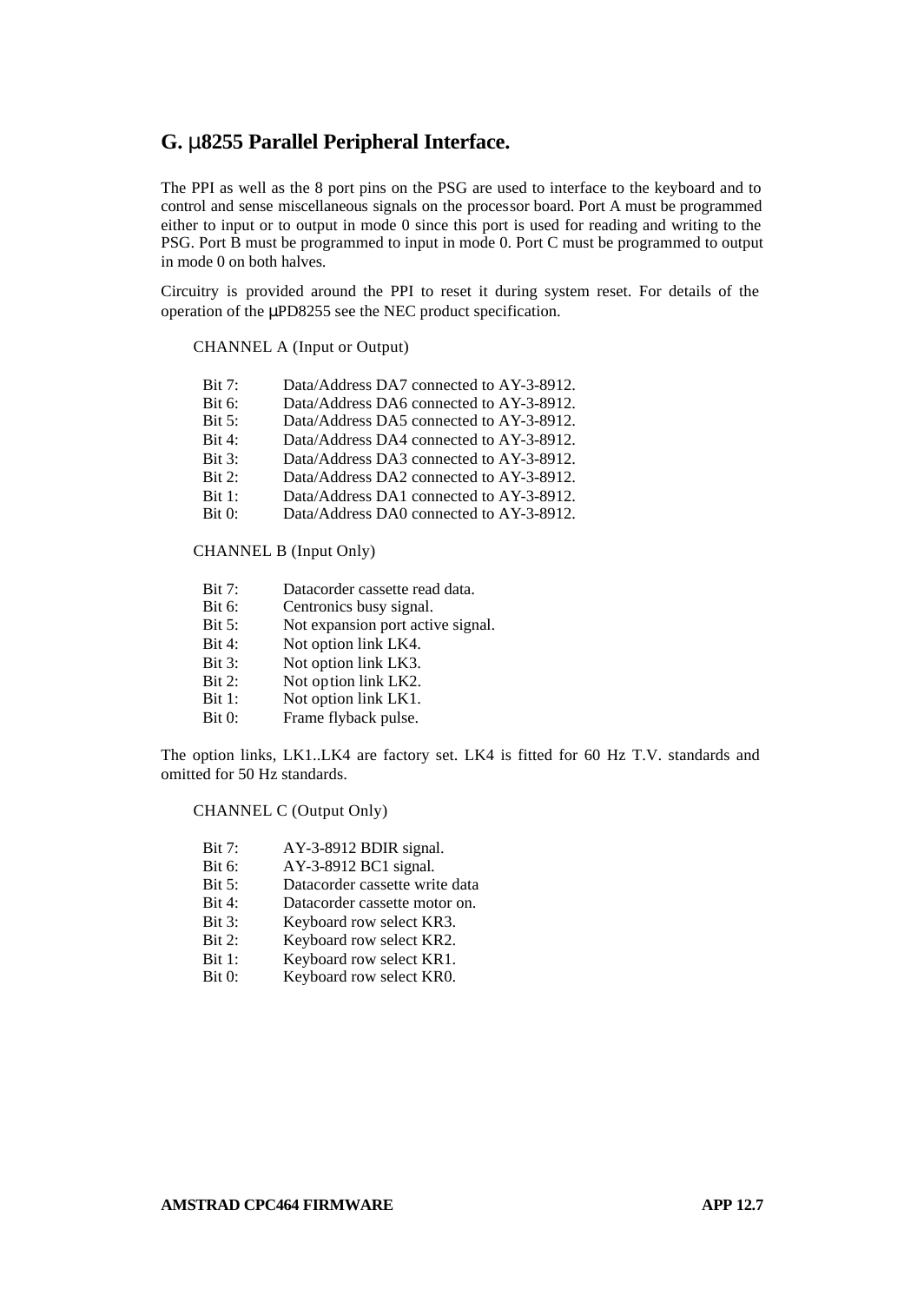## **G. m8255 Parallel Peripheral Interface.**

The PPI as well as the 8 port pins on the PSG are used to interface to the keyboard and to control and sense miscellaneous signals on the processor board. Port A must be programmed either to input or to output in mode 0 since this port is used for reading and writing to the PSG. Port B must be programmed to input in mode 0. Port C must be programmed to output in mode 0 on both halves.

Circuitry is provided around the PPI to reset it during system reset. For details of the operation of the μPD8255 see the NEC product specification.

#### CHANNEL A (Input or Output)

| Bit 7: | Data/Address DA7 connected to AY-3-8912. |
|--------|------------------------------------------|
| Bit 6: | Data/Address DA6 connected to AY-3-8912. |
| Bit 5: | Data/Address DA5 connected to AY-3-8912. |
| Bit 4: | Data/Address DA4 connected to AY-3-8912. |
| Bit 3: | Data/Address DA3 connected to AY-3-8912. |
| Bit 2: | Data/Address DA2 connected to AY-3-8912. |
| Bit 1: | Data/Address DA1 connected to AY-3-8912. |
| Bit 0: | Data/Address DA0 connected to AY-3-8912. |
|        |                                          |

CHANNEL B (Input Only)

- Bit 7: Datacorder cassette read data.<br>Bit 6: Centronics busy signal.
- Centronics busy signal.
- Bit 5: Not expansion port active signal.
- Bit 4: Not option link LK4.
- Bit 3: Not option link LK3.
- Bit 2: Not option link LK2.
- Bit 1: Not option link LK1.
- Bit 0: Frame flyback pulse.

The option links, LK1..LK4 are factory set. LK4 is fitted for 60 Hz T.V. standards and omitted for 50 Hz standards.

#### CHANNEL C (Output Only)

- Bit 7: AY-3-8912 BDIR signal.
- Bit 6: AY-3-8912 BC1 signal.<br>Bit 5: Datacorder cassette wri
- Datacorder cassette write data
- Bit 4: Datacorder cassette motor on.
- Bit 3: Keyboard row select KR3.
- Bit 2: Keyboard row select KR2.
- Bit 1: Keyboard row select KR1.
- Bit 0: Keyboard row select KR0.